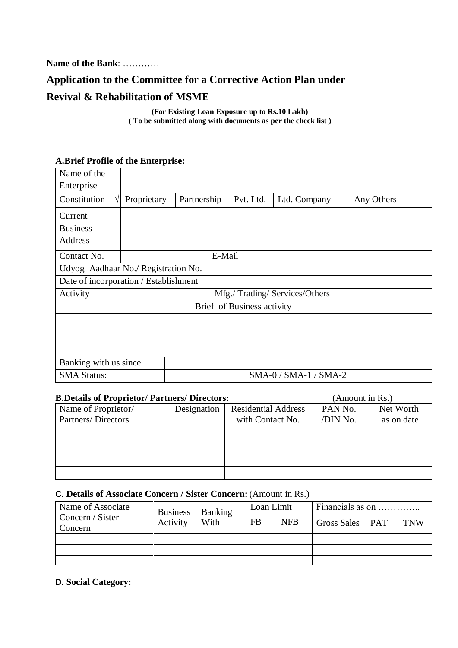**Name of the Bank**: …………

# **Application to the Committee for a Corrective Action Plan under Revival & Rehabilitation of MSME**

**(For Existing Loan Exposure up to Rs.10 Lakh) ( To be submitted along with documents as per the check list )**

#### **A.Brief Profile of the Enterprise:**

| Name of the                                 |             |             |                              |              |            |  |
|---------------------------------------------|-------------|-------------|------------------------------|--------------|------------|--|
| Enterprise                                  |             |             |                              |              |            |  |
| Constitution<br>$\sqrt{1}$                  | Proprietary | Partnership | Pvt. Ltd.                    | Ltd. Company | Any Others |  |
| Current                                     |             |             |                              |              |            |  |
| <b>Business</b>                             |             |             |                              |              |            |  |
| Address                                     |             |             |                              |              |            |  |
| Contact No.                                 |             | E-Mail      |                              |              |            |  |
| Udyog Aadhaar No./ Registration No.         |             |             |                              |              |            |  |
| Date of incorporation / Establishment       |             |             |                              |              |            |  |
| Activity                                    |             |             | Mfg./Trading/Services/Others |              |            |  |
|                                             |             |             | Brief of Business activity   |              |            |  |
|                                             |             |             |                              |              |            |  |
|                                             |             |             |                              |              |            |  |
|                                             |             |             |                              |              |            |  |
| Banking with us since                       |             |             |                              |              |            |  |
| SMA-0 / SMA-1 / SMA-2<br><b>SMA Status:</b> |             |             |                              |              |            |  |
|                                             |             |             |                              |              |            |  |

| <b>B.Details of Proprietor/ Partners/ Directors:</b> |             | (Amount in Rs.)            |          |            |
|------------------------------------------------------|-------------|----------------------------|----------|------------|
| Name of Proprietor/                                  | Designation | <b>Residential Address</b> | PAN No.  | Net Worth  |
| Partners/Directors                                   |             | with Contact No.           | /DIN No. | as on date |
|                                                      |             |                            |          |            |
|                                                      |             |                            |          |            |
|                                                      |             |                            |          |            |
|                                                      |             |                            |          |            |

## **C. Details of Associate Concern / Sister Concern:** (Amount in Rs.)

| Name of Associate           | <b>Business</b><br>Activity | <b>Banking</b><br>With | Loan Limit |            | Financials as on |     |            |
|-----------------------------|-----------------------------|------------------------|------------|------------|------------------|-----|------------|
| Concern / Sister<br>Concern |                             |                        | FB         | <b>NFB</b> | Gross Sales      | PAT | <b>TNW</b> |
|                             |                             |                        |            |            |                  |     |            |
|                             |                             |                        |            |            |                  |     |            |
|                             |                             |                        |            |            |                  |     |            |

**D. Social Category:**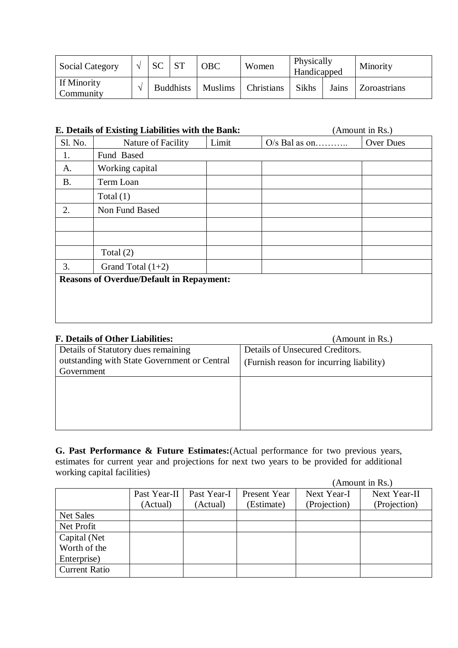| <b>Social Category</b>   | <b>SC</b> |                  | <b>OBC</b>     | Women      | Physically<br>Handicapped |       | Minority     |
|--------------------------|-----------|------------------|----------------|------------|---------------------------|-------|--------------|
| If Minority<br>Community |           | <b>Buddhists</b> | <b>Muslims</b> | Christians | Sikhs                     | Jains | Zoroastrians |

|           | E. Details of Existing Liabilities with the Bank: | (Amount in Rs.) |                 |           |
|-----------|---------------------------------------------------|-----------------|-----------------|-----------|
| Sl. No.   | Nature of Facility                                | Limit           | $O/s$ Bal as on | Over Dues |
| 1.        | Fund Based                                        |                 |                 |           |
| A.        | Working capital                                   |                 |                 |           |
| <b>B.</b> | Term Loan                                         |                 |                 |           |
|           | Total $(1)$                                       |                 |                 |           |
| 2.        | Non Fund Based                                    |                 |                 |           |
|           |                                                   |                 |                 |           |
|           |                                                   |                 |                 |           |
|           | Total $(2)$                                       |                 |                 |           |
| 3.        | Grand Total $(1+2)$                               |                 |                 |           |
|           | <b>Reasons of Overdue/Default in Repayment:</b>   |                 |                 |           |

| <b>F. Details of Other Liabilities:</b>      | (Amount in Rs.)                          |
|----------------------------------------------|------------------------------------------|
| Details of Statutory dues remaining          | Details of Unsecured Creditors.          |
| outstanding with State Government or Central | (Furnish reason for incurring liability) |
| Government                                   |                                          |
|                                              |                                          |
|                                              |                                          |
|                                              |                                          |
|                                              |                                          |
|                                              |                                          |

**G. Past Performance & Future Estimates:**(Actual performance for two previous years, estimates for current year and projections for next two years to be provided for additional working capital facilities)  $(A$ mount in  $Rs$ )

|                      |              |             |              |              | Alliuuiil III INS. J |
|----------------------|--------------|-------------|--------------|--------------|----------------------|
|                      | Past Year-II | Past Year-I | Present Year | Next Year-I  | Next Year-II         |
|                      | (Actual)     | (Actual)    | (Estimate)   | (Projection) | (Projection)         |
| Net Sales            |              |             |              |              |                      |
| Net Profit           |              |             |              |              |                      |
| Capital (Net         |              |             |              |              |                      |
| Worth of the         |              |             |              |              |                      |
| Enterprise)          |              |             |              |              |                      |
| <b>Current Ratio</b> |              |             |              |              |                      |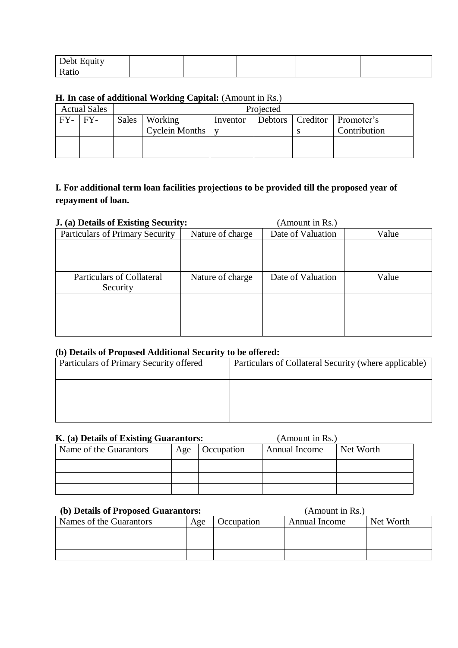| Debt Equity |  |  |  |
|-------------|--|--|--|
| - Ratio     |  |  |  |

#### **H. In case of additional Working Capital:** (Amount in Rs.)

|              | <b>Actual Sales</b> | Projected |                 |          |  |  |                                 |  |
|--------------|---------------------|-----------|-----------------|----------|--|--|---------------------------------|--|
| $FY - IFY -$ |                     |           | Sales   Working | Inventor |  |  | Debtors   Creditor   Promoter's |  |
|              |                     |           | Cyclein Months  |          |  |  | Contribution                    |  |
|              |                     |           |                 |          |  |  |                                 |  |
|              |                     |           |                 |          |  |  |                                 |  |

# **I. For additional term loan facilities projections to be provided till the proposed year of repayment of loan.**

| J. (a) Details of Existing Security: |                  | (Amount in Rs.)   |       |  |
|--------------------------------------|------------------|-------------------|-------|--|
| Particulars of Primary Security      | Nature of charge | Date of Valuation | Value |  |
|                                      |                  |                   |       |  |
|                                      |                  |                   |       |  |
|                                      |                  |                   |       |  |
| <b>Particulars of Collateral</b>     | Nature of charge | Date of Valuation | Value |  |
| Security                             |                  |                   |       |  |
|                                      |                  |                   |       |  |
|                                      |                  |                   |       |  |
|                                      |                  |                   |       |  |
|                                      |                  |                   |       |  |

#### **(b) Details of Proposed Additional Security to be offered:**

| Particulars of Primary Security offered | Particulars of Collateral Security (where applicable) |
|-----------------------------------------|-------------------------------------------------------|
|                                         |                                                       |
|                                         |                                                       |
|                                         |                                                       |

#### **K. (a) Details of Existing Guarantors:** (Amount in Rs.)

| Name of the Guarantors | Occupation<br>Age |  | <b>Annual Income</b> | Net Worth |
|------------------------|-------------------|--|----------------------|-----------|
|                        |                   |  |                      |           |
|                        |                   |  |                      |           |
|                        |                   |  |                      |           |

#### **(b) Details of Proposed Guarantors:** (Amount in Rs.)

| Names of the Guarantors | Age | Occupation | Annual Income | Net Worth |
|-------------------------|-----|------------|---------------|-----------|
|                         |     |            |               |           |
|                         |     |            |               |           |
|                         |     |            |               |           |